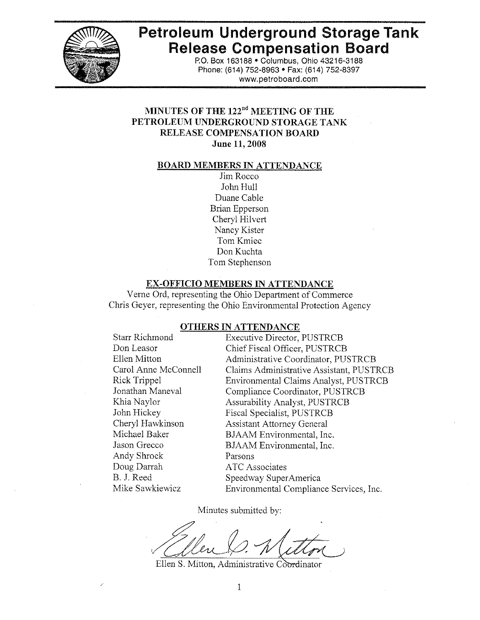

# **Petroleum Underground Storage Tank Release Compensation Board**

P.O. Box 163188 . Columbus, Ohio 43216-3188 Phone: (614) 752-8963 · Fax: (614) 752-8397 www.petroboard.com

# MINUTES OF THE 122<sup>nd</sup> MEETING OF THE PETROLEUM UNDERGROUND STORAGE TANK **RELEASE COMPENSATION BOARD** June 11, 2008

#### **BOARD MEMBERS IN ATTENDANCE**

Jim Rocco John Hull Duane Cable **Brian Epperson** Cheryl Hilvert Nancy Kister Tom Kmiec Don Kuchta Tom Stephenson

#### **EX-OFFICIO MEMBERS IN ATTENDANCE**

Verne Ord, representing the Ohio Department of Commerce Chris Geyer, representing the Ohio Environmental Protection Agency

#### **OTHERS IN ATTENDANCE**

**Starr Richmond** Don Leasor Ellen Mitton Carol Anne McConnell **Rick Trippel** Jonathan Maneval Khia Navlor John Hickey Cheryl Hawkinson Michael Baker Jason Grecco Andy Shrock Doug Darrah B. J. Reed Mike Sawkiewicz

**Executive Director, PUSTRCB** Chief Fiscal Officer, PUSTRCB Administrative Coordinator, PUSTRCB Claims Administrative Assistant, PUSTRCB Environmental Claims Analyst, PUSTRCB Compliance Coordinator, PUSTRCB **Assurability Analyst, PUSTRCB Fiscal Specialist, PUSTRCB Assistant Attorney General** BJAAM Environmental, Inc. BJAAM Environmental, Inc. Parsons **ATC** Associates Speedway SuperAmerica Environmental Compliance Services, Inc.

Minutes submitted by:

Ellen S. Mitton, Administrative Coordinator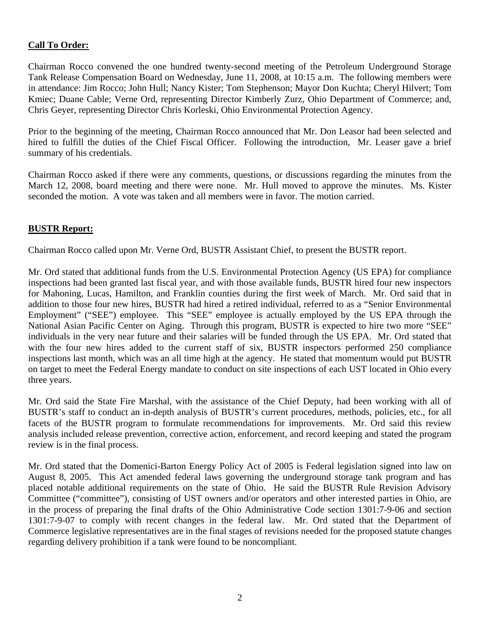# **Call To Order:**

Chairman Rocco convened the one hundred twenty-second meeting of the Petroleum Underground Storage Tank Release Compensation Board on Wednesday, June 11, 2008, at 10:15 a.m. The following members were in attendance: Jim Rocco; John Hull; Nancy Kister; Tom Stephenson; Mayor Don Kuchta; Cheryl Hilvert; Tom Kmiec; Duane Cable; Verne Ord, representing Director Kimberly Zurz, Ohio Department of Commerce; and, Chris Geyer, representing Director Chris Korleski, Ohio Environmental Protection Agency.

Prior to the beginning of the meeting, Chairman Rocco announced that Mr. Don Leasor had been selected and hired to fulfill the duties of the Chief Fiscal Officer. Following the introduction, Mr. Leaser gave a brief summary of his credentials.

Chairman Rocco asked if there were any comments, questions, or discussions regarding the minutes from the March 12, 2008, board meeting and there were none. Mr. Hull moved to approve the minutes. Ms. Kister seconded the motion. A vote was taken and all members were in favor. The motion carried.

# **BUSTR Report:**

Chairman Rocco called upon Mr. Verne Ord, BUSTR Assistant Chief, to present the BUSTR report.

Mr. Ord stated that additional funds from the U.S. Environmental Protection Agency (US EPA) for compliance inspections had been granted last fiscal year, and with those available funds, BUSTR hired four new inspectors for Mahoning, Lucas, Hamilton, and Franklin counties during the first week of March. Mr. Ord said that in addition to those four new hires, BUSTR had hired a retired individual, referred to as a "Senior Environmental Employment" ("SEE") employee. This "SEE" employee is actually employed by the US EPA through the National Asian Pacific Center on Aging. Through this program, BUSTR is expected to hire two more "SEE" individuals in the very near future and their salaries will be funded through the US EPA. Mr. Ord stated that with the four new hires added to the current staff of six, BUSTR inspectors performed 250 compliance inspections last month, which was an all time high at the agency. He stated that momentum would put BUSTR on target to meet the Federal Energy mandate to conduct on site inspections of each UST located in Ohio every three years.

Mr. Ord said the State Fire Marshal, with the assistance of the Chief Deputy, had been working with all of BUSTR's staff to conduct an in-depth analysis of BUSTR's current procedures, methods, policies, etc., for all facets of the BUSTR program to formulate recommendations for improvements. Mr. Ord said this review analysis included release prevention, corrective action, enforcement, and record keeping and stated the program review is in the final process.

Mr. Ord stated that the Domenici-Barton Energy Policy Act of 2005 is Federal legislation signed into law on August 8, 2005. This Act amended federal laws governing the underground storage tank program and has placed notable additional requirements on the state of Ohio. He said the BUSTR Rule Revision Advisory Committee ("committee"), consisting of UST owners and/or operators and other interested parties in Ohio, are in the process of preparing the final drafts of the Ohio Administrative Code section 1301:7-9-06 and section 1301:7-9-07 to comply with recent changes in the federal law. Mr. Ord stated that the Department of Commerce legislative representatives are in the final stages of revisions needed for the proposed statute changes regarding delivery prohibition if a tank were found to be noncompliant.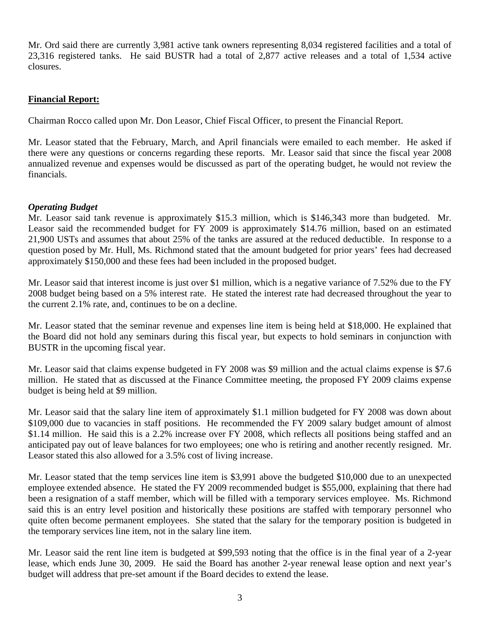Mr. Ord said there are currently 3,981 active tank owners representing 8,034 registered facilities and a total of 23,316 registered tanks. He said BUSTR had a total of 2,877 active releases and a total of 1,534 active closures.

# **Financial Report:**

Chairman Rocco called upon Mr. Don Leasor, Chief Fiscal Officer, to present the Financial Report.

Mr. Leasor stated that the February, March, and April financials were emailed to each member. He asked if there were any questions or concerns regarding these reports. Mr. Leasor said that since the fiscal year 2008 annualized revenue and expenses would be discussed as part of the operating budget, he would not review the financials.

# *Operating Budget*

Mr. Leasor said tank revenue is approximately \$15.3 million, which is \$146,343 more than budgeted. Mr. Leasor said the recommended budget for FY 2009 is approximately \$14.76 million, based on an estimated 21,900 USTs and assumes that about 25% of the tanks are assured at the reduced deductible. In response to a question posed by Mr. Hull, Ms. Richmond stated that the amount budgeted for prior years' fees had decreased approximately \$150,000 and these fees had been included in the proposed budget.

Mr. Leasor said that interest income is just over \$1 million, which is a negative variance of 7.52% due to the FY 2008 budget being based on a 5% interest rate. He stated the interest rate had decreased throughout the year to the current 2.1% rate, and, continues to be on a decline.

Mr. Leasor stated that the seminar revenue and expenses line item is being held at \$18,000. He explained that the Board did not hold any seminars during this fiscal year, but expects to hold seminars in conjunction with BUSTR in the upcoming fiscal year.

Mr. Leasor said that claims expense budgeted in FY 2008 was \$9 million and the actual claims expense is \$7.6 million. He stated that as discussed at the Finance Committee meeting, the proposed FY 2009 claims expense budget is being held at \$9 million.

Mr. Leasor said that the salary line item of approximately \$1.1 million budgeted for FY 2008 was down about \$109,000 due to vacancies in staff positions. He recommended the FY 2009 salary budget amount of almost \$1.14 million. He said this is a 2.2% increase over FY 2008, which reflects all positions being staffed and an anticipated pay out of leave balances for two employees; one who is retiring and another recently resigned. Mr. Leasor stated this also allowed for a 3.5% cost of living increase.

Mr. Leasor stated that the temp services line item is \$3,991 above the budgeted \$10,000 due to an unexpected employee extended absence. He stated the FY 2009 recommended budget is \$55,000, explaining that there had been a resignation of a staff member, which will be filled with a temporary services employee. Ms. Richmond said this is an entry level position and historically these positions are staffed with temporary personnel who quite often become permanent employees. She stated that the salary for the temporary position is budgeted in the temporary services line item, not in the salary line item.

Mr. Leasor said the rent line item is budgeted at \$99,593 noting that the office is in the final year of a 2-year lease, which ends June 30, 2009. He said the Board has another 2-year renewal lease option and next year's budget will address that pre-set amount if the Board decides to extend the lease.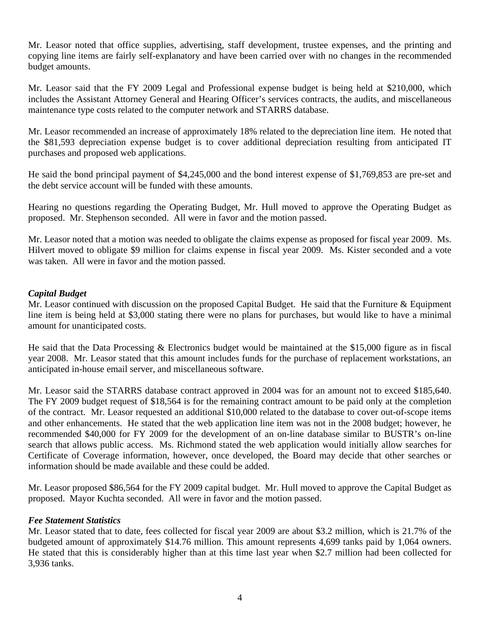Mr. Leasor noted that office supplies, advertising, staff development, trustee expenses, and the printing and copying line items are fairly self-explanatory and have been carried over with no changes in the recommended budget amounts.

Mr. Leasor said that the FY 2009 Legal and Professional expense budget is being held at \$210,000, which includes the Assistant Attorney General and Hearing Officer's services contracts, the audits, and miscellaneous maintenance type costs related to the computer network and STARRS database.

Mr. Leasor recommended an increase of approximately 18% related to the depreciation line item. He noted that the \$81,593 depreciation expense budget is to cover additional depreciation resulting from anticipated IT purchases and proposed web applications.

He said the bond principal payment of \$4,245,000 and the bond interest expense of \$1,769,853 are pre-set and the debt service account will be funded with these amounts.

Hearing no questions regarding the Operating Budget, Mr. Hull moved to approve the Operating Budget as proposed. Mr. Stephenson seconded. All were in favor and the motion passed.

Mr. Leasor noted that a motion was needed to obligate the claims expense as proposed for fiscal year 2009. Ms. Hilvert moved to obligate \$9 million for claims expense in fiscal year 2009. Ms. Kister seconded and a vote was taken. All were in favor and the motion passed.

# *Capital Budget*

Mr. Leasor continued with discussion on the proposed Capital Budget. He said that the Furniture & Equipment line item is being held at \$3,000 stating there were no plans for purchases, but would like to have a minimal amount for unanticipated costs.

He said that the Data Processing & Electronics budget would be maintained at the \$15,000 figure as in fiscal year 2008. Mr. Leasor stated that this amount includes funds for the purchase of replacement workstations, an anticipated in-house email server, and miscellaneous software.

Mr. Leasor said the STARRS database contract approved in 2004 was for an amount not to exceed \$185,640. The FY 2009 budget request of \$18,564 is for the remaining contract amount to be paid only at the completion of the contract. Mr. Leasor requested an additional \$10,000 related to the database to cover out-of-scope items and other enhancements. He stated that the web application line item was not in the 2008 budget; however, he recommended \$40,000 for FY 2009 for the development of an on-line database similar to BUSTR's on-line search that allows public access. Ms. Richmond stated the web application would initially allow searches for Certificate of Coverage information, however, once developed, the Board may decide that other searches or information should be made available and these could be added.

Mr. Leasor proposed \$86,564 for the FY 2009 capital budget. Mr. Hull moved to approve the Capital Budget as proposed. Mayor Kuchta seconded. All were in favor and the motion passed.

# *Fee Statement Statistics*

Mr. Leasor stated that to date, fees collected for fiscal year 2009 are about \$3.2 million, which is 21.7% of the budgeted amount of approximately \$14.76 million. This amount represents 4,699 tanks paid by 1,064 owners. He stated that this is considerably higher than at this time last year when \$2.7 million had been collected for 3,936 tanks.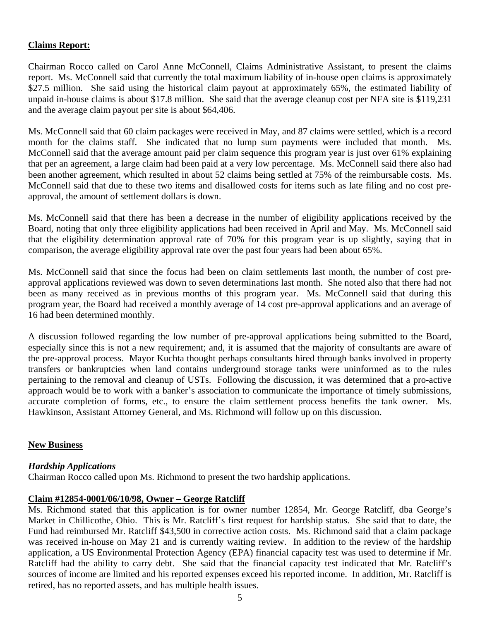# **Claims Report:**

Chairman Rocco called on Carol Anne McConnell, Claims Administrative Assistant, to present the claims report. Ms. McConnell said that currently the total maximum liability of in-house open claims is approximately \$27.5 million. She said using the historical claim payout at approximately 65%, the estimated liability of unpaid in-house claims is about \$17.8 million. She said that the average cleanup cost per NFA site is \$119,231 and the average claim payout per site is about \$64,406.

Ms. McConnell said that 60 claim packages were received in May, and 87 claims were settled, which is a record month for the claims staff. She indicated that no lump sum payments were included that month. Ms. McConnell said that the average amount paid per claim sequence this program year is just over 61% explaining that per an agreement, a large claim had been paid at a very low percentage. Ms. McConnell said there also had been another agreement, which resulted in about 52 claims being settled at 75% of the reimbursable costs. Ms. McConnell said that due to these two items and disallowed costs for items such as late filing and no cost preapproval, the amount of settlement dollars is down.

Ms. McConnell said that there has been a decrease in the number of eligibility applications received by the Board, noting that only three eligibility applications had been received in April and May. Ms. McConnell said that the eligibility determination approval rate of 70% for this program year is up slightly, saying that in comparison, the average eligibility approval rate over the past four years had been about 65%.

Ms. McConnell said that since the focus had been on claim settlements last month, the number of cost preapproval applications reviewed was down to seven determinations last month. She noted also that there had not been as many received as in previous months of this program year. Ms. McConnell said that during this program year, the Board had received a monthly average of 14 cost pre-approval applications and an average of 16 had been determined monthly.

A discussion followed regarding the low number of pre-approval applications being submitted to the Board, especially since this is not a new requirement; and, it is assumed that the majority of consultants are aware of the pre-approval process. Mayor Kuchta thought perhaps consultants hired through banks involved in property transfers or bankruptcies when land contains underground storage tanks were uninformed as to the rules pertaining to the removal and cleanup of USTs. Following the discussion, it was determined that a pro-active approach would be to work with a banker's association to communicate the importance of timely submissions, accurate completion of forms, etc., to ensure the claim settlement process benefits the tank owner. Ms. Hawkinson, Assistant Attorney General, and Ms. Richmond will follow up on this discussion.

### **New Business**

### *Hardship Applications*

Chairman Rocco called upon Ms. Richmond to present the two hardship applications.

### **Claim #12854-0001/06/10/98, Owner – George Ratcliff**

Ms. Richmond stated that this application is for owner number 12854, Mr. George Ratcliff, dba George's Market in Chillicothe, Ohio. This is Mr. Ratcliff's first request for hardship status. She said that to date, the Fund had reimbursed Mr. Ratcliff \$43,500 in corrective action costs. Ms. Richmond said that a claim package was received in-house on May 21 and is currently waiting review. In addition to the review of the hardship application, a US Environmental Protection Agency (EPA) financial capacity test was used to determine if Mr. Ratcliff had the ability to carry debt. She said that the financial capacity test indicated that Mr. Ratcliff's sources of income are limited and his reported expenses exceed his reported income. In addition, Mr. Ratcliff is retired, has no reported assets, and has multiple health issues.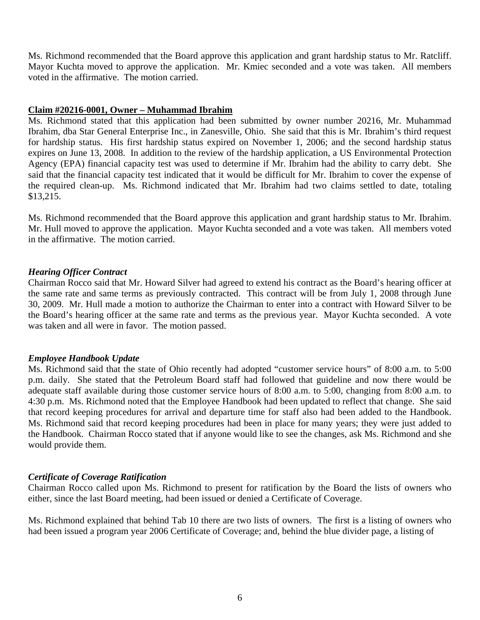Ms. Richmond recommended that the Board approve this application and grant hardship status to Mr. Ratcliff. Mayor Kuchta moved to approve the application. Mr. Kmiec seconded and a vote was taken. All members voted in the affirmative. The motion carried.

## **Claim #20216-0001, Owner – Muhammad Ibrahim**

Ms. Richmond stated that this application had been submitted by owner number 20216, Mr. Muhammad Ibrahim, dba Star General Enterprise Inc., in Zanesville, Ohio. She said that this is Mr. Ibrahim's third request for hardship status. His first hardship status expired on November 1, 2006; and the second hardship status expires on June 13, 2008. In addition to the review of the hardship application, a US Environmental Protection Agency (EPA) financial capacity test was used to determine if Mr. Ibrahim had the ability to carry debt. She said that the financial capacity test indicated that it would be difficult for Mr. Ibrahim to cover the expense of the required clean-up. Ms. Richmond indicated that Mr. Ibrahim had two claims settled to date, totaling \$13,215.

Ms. Richmond recommended that the Board approve this application and grant hardship status to Mr. Ibrahim. Mr. Hull moved to approve the application. Mayor Kuchta seconded and a vote was taken. All members voted in the affirmative. The motion carried.

## *Hearing Officer Contract*

Chairman Rocco said that Mr. Howard Silver had agreed to extend his contract as the Board's hearing officer at the same rate and same terms as previously contracted. This contract will be from July 1, 2008 through June 30, 2009. Mr. Hull made a motion to authorize the Chairman to enter into a contract with Howard Silver to be the Board's hearing officer at the same rate and terms as the previous year. Mayor Kuchta seconded. A vote was taken and all were in favor. The motion passed.

### *Employee Handbook Update*

Ms. Richmond said that the state of Ohio recently had adopted "customer service hours" of 8:00 a.m. to 5:00 p.m. daily. She stated that the Petroleum Board staff had followed that guideline and now there would be adequate staff available during those customer service hours of 8:00 a.m. to 5:00, changing from 8:00 a.m. to 4:30 p.m. Ms. Richmond noted that the Employee Handbook had been updated to reflect that change. She said that record keeping procedures for arrival and departure time for staff also had been added to the Handbook. Ms. Richmond said that record keeping procedures had been in place for many years; they were just added to the Handbook. Chairman Rocco stated that if anyone would like to see the changes, ask Ms. Richmond and she would provide them.

### *Certificate of Coverage Ratification*

Chairman Rocco called upon Ms. Richmond to present for ratification by the Board the lists of owners who either, since the last Board meeting, had been issued or denied a Certificate of Coverage.

Ms. Richmond explained that behind Tab 10 there are two lists of owners. The first is a listing of owners who had been issued a program year 2006 Certificate of Coverage; and, behind the blue divider page, a listing of